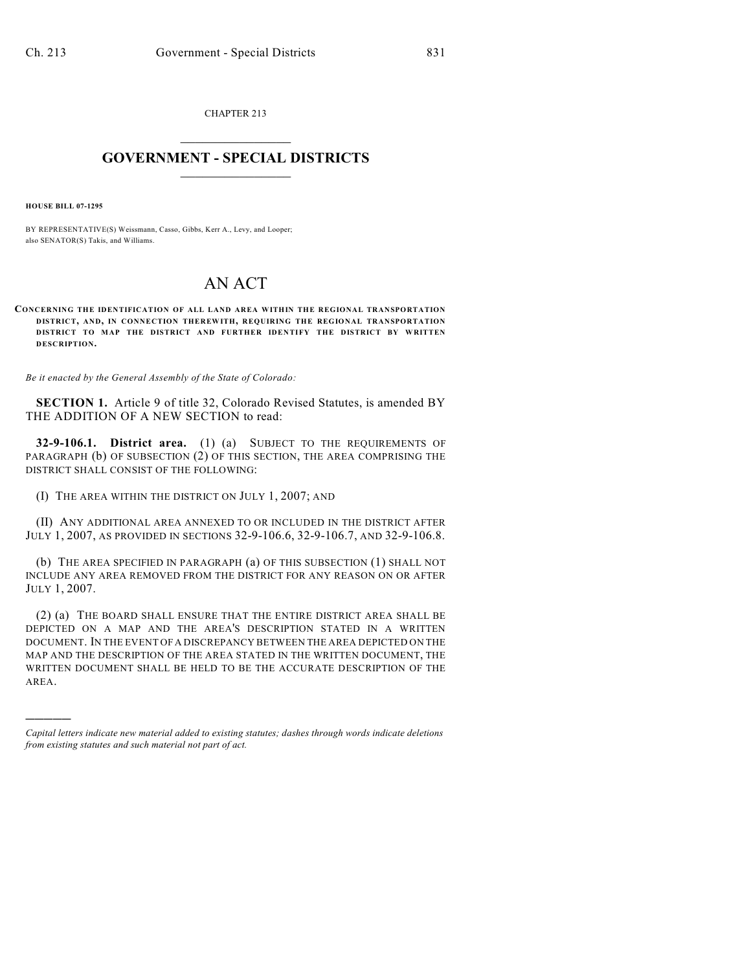CHAPTER 213  $\overline{\phantom{a}}$  . The set of the set of the set of the set of the set of the set of the set of the set of the set of the set of the set of the set of the set of the set of the set of the set of the set of the set of the set o

## **GOVERNMENT - SPECIAL DISTRICTS**  $\_$   $\_$

**HOUSE BILL 07-1295**

)))))

BY REPRESENTATIVE(S) Weissmann, Casso, Gibbs, Kerr A., Levy, and Looper; also SENATOR(S) Takis, and Williams.

## AN ACT

**CONCERNING THE IDENTIFICATION OF ALL LAND AREA WITHIN THE REGIONAL TRANSPORTATION DISTRICT, AND, IN CONNECTION THEREWITH, REQUIRING THE REGIONAL TRANSPORTATION DISTRICT TO MAP THE DISTRICT AND FURTHER IDENTIFY THE DISTRICT BY WRITTEN DESCRIPTION.**

*Be it enacted by the General Assembly of the State of Colorado:*

**SECTION 1.** Article 9 of title 32, Colorado Revised Statutes, is amended BY THE ADDITION OF A NEW SECTION to read:

**32-9-106.1. District area.** (1) (a) SUBJECT TO THE REQUIREMENTS OF PARAGRAPH (b) OF SUBSECTION (2) OF THIS SECTION, THE AREA COMPRISING THE DISTRICT SHALL CONSIST OF THE FOLLOWING:

(I) THE AREA WITHIN THE DISTRICT ON JULY 1, 2007; AND

(II) ANY ADDITIONAL AREA ANNEXED TO OR INCLUDED IN THE DISTRICT AFTER JULY 1, 2007, AS PROVIDED IN SECTIONS 32-9-106.6, 32-9-106.7, AND 32-9-106.8.

(b) THE AREA SPECIFIED IN PARAGRAPH (a) OF THIS SUBSECTION (1) SHALL NOT INCLUDE ANY AREA REMOVED FROM THE DISTRICT FOR ANY REASON ON OR AFTER JULY 1, 2007.

(2) (a) THE BOARD SHALL ENSURE THAT THE ENTIRE DISTRICT AREA SHALL BE DEPICTED ON A MAP AND THE AREA'S DESCRIPTION STATED IN A WRITTEN DOCUMENT. IN THE EVENT OF A DISCREPANCY BETWEEN THE AREA DEPICTED ON THE MAP AND THE DESCRIPTION OF THE AREA STATED IN THE WRITTEN DOCUMENT, THE WRITTEN DOCUMENT SHALL BE HELD TO BE THE ACCURATE DESCRIPTION OF THE AREA.

*Capital letters indicate new material added to existing statutes; dashes through words indicate deletions from existing statutes and such material not part of act.*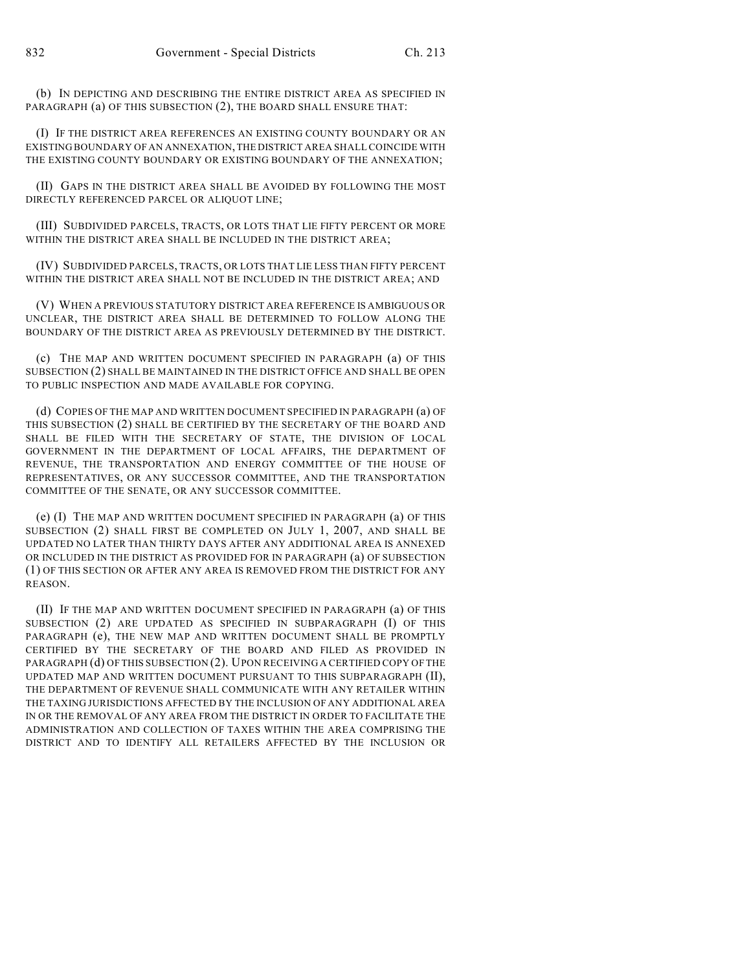(b) IN DEPICTING AND DESCRIBING THE ENTIRE DISTRICT AREA AS SPECIFIED IN PARAGRAPH (a) OF THIS SUBSECTION (2), THE BOARD SHALL ENSURE THAT:

(I) IF THE DISTRICT AREA REFERENCES AN EXISTING COUNTY BOUNDARY OR AN EXISTING BOUNDARY OF AN ANNEXATION, THE DISTRICT AREA SHALL COINCIDE WITH THE EXISTING COUNTY BOUNDARY OR EXISTING BOUNDARY OF THE ANNEXATION;

(II) GAPS IN THE DISTRICT AREA SHALL BE AVOIDED BY FOLLOWING THE MOST DIRECTLY REFERENCED PARCEL OR ALIQUOT LINE;

(III) SUBDIVIDED PARCELS, TRACTS, OR LOTS THAT LIE FIFTY PERCENT OR MORE WITHIN THE DISTRICT AREA SHALL BE INCLUDED IN THE DISTRICT AREA;

(IV) SUBDIVIDED PARCELS, TRACTS, OR LOTS THAT LIE LESS THAN FIFTY PERCENT WITHIN THE DISTRICT AREA SHALL NOT BE INCLUDED IN THE DISTRICT AREA; AND

(V) WHEN A PREVIOUS STATUTORY DISTRICT AREA REFERENCE IS AMBIGUOUS OR UNCLEAR, THE DISTRICT AREA SHALL BE DETERMINED TO FOLLOW ALONG THE BOUNDARY OF THE DISTRICT AREA AS PREVIOUSLY DETERMINED BY THE DISTRICT.

(c) THE MAP AND WRITTEN DOCUMENT SPECIFIED IN PARAGRAPH (a) OF THIS SUBSECTION (2) SHALL BE MAINTAINED IN THE DISTRICT OFFICE AND SHALL BE OPEN TO PUBLIC INSPECTION AND MADE AVAILABLE FOR COPYING.

(d) COPIES OF THE MAP AND WRITTEN DOCUMENT SPECIFIED IN PARAGRAPH (a) OF THIS SUBSECTION (2) SHALL BE CERTIFIED BY THE SECRETARY OF THE BOARD AND SHALL BE FILED WITH THE SECRETARY OF STATE, THE DIVISION OF LOCAL GOVERNMENT IN THE DEPARTMENT OF LOCAL AFFAIRS, THE DEPARTMENT OF REVENUE, THE TRANSPORTATION AND ENERGY COMMITTEE OF THE HOUSE OF REPRESENTATIVES, OR ANY SUCCESSOR COMMITTEE, AND THE TRANSPORTATION COMMITTEE OF THE SENATE, OR ANY SUCCESSOR COMMITTEE.

(e) (I) THE MAP AND WRITTEN DOCUMENT SPECIFIED IN PARAGRAPH (a) OF THIS SUBSECTION (2) SHALL FIRST BE COMPLETED ON JULY 1, 2007, AND SHALL BE UPDATED NO LATER THAN THIRTY DAYS AFTER ANY ADDITIONAL AREA IS ANNEXED OR INCLUDED IN THE DISTRICT AS PROVIDED FOR IN PARAGRAPH (a) OF SUBSECTION (1) OF THIS SECTION OR AFTER ANY AREA IS REMOVED FROM THE DISTRICT FOR ANY REASON.

(II) IF THE MAP AND WRITTEN DOCUMENT SPECIFIED IN PARAGRAPH (a) OF THIS SUBSECTION (2) ARE UPDATED AS SPECIFIED IN SUBPARAGRAPH (I) OF THIS PARAGRAPH (e), THE NEW MAP AND WRITTEN DOCUMENT SHALL BE PROMPTLY CERTIFIED BY THE SECRETARY OF THE BOARD AND FILED AS PROVIDED IN PARAGRAPH (d) OF THIS SUBSECTION (2). UPON RECEIVING A CERTIFIED COPY OF THE UPDATED MAP AND WRITTEN DOCUMENT PURSUANT TO THIS SUBPARAGRAPH (II), THE DEPARTMENT OF REVENUE SHALL COMMUNICATE WITH ANY RETAILER WITHIN THE TAXING JURISDICTIONS AFFECTED BY THE INCLUSION OF ANY ADDITIONAL AREA IN OR THE REMOVAL OF ANY AREA FROM THE DISTRICT IN ORDER TO FACILITATE THE ADMINISTRATION AND COLLECTION OF TAXES WITHIN THE AREA COMPRISING THE DISTRICT AND TO IDENTIFY ALL RETAILERS AFFECTED BY THE INCLUSION OR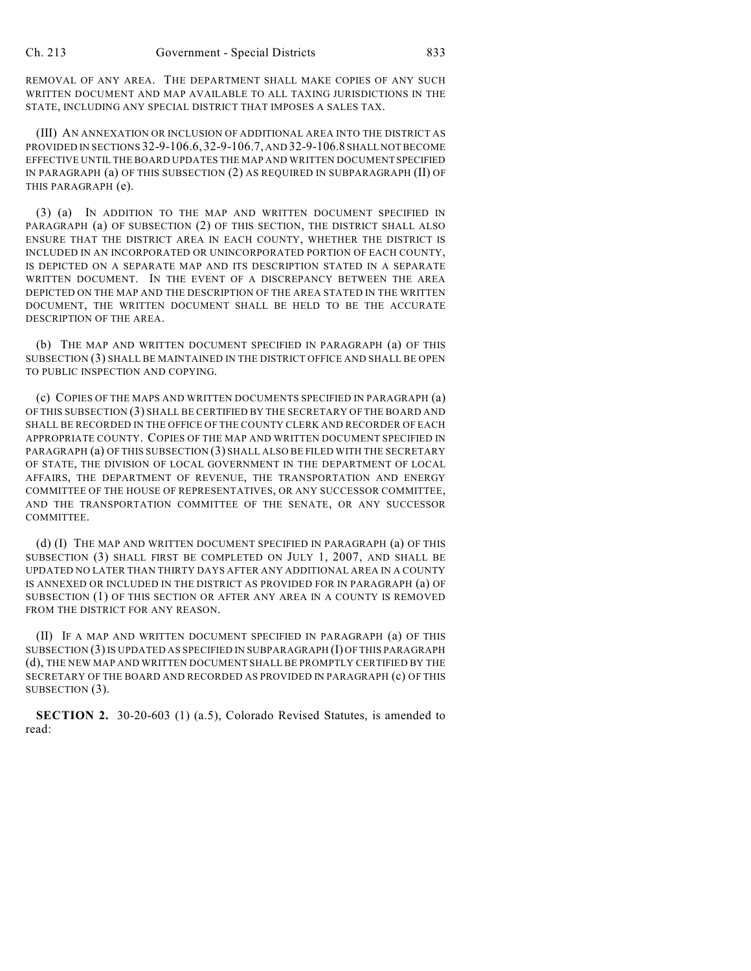REMOVAL OF ANY AREA. THE DEPARTMENT SHALL MAKE COPIES OF ANY SUCH WRITTEN DOCUMENT AND MAP AVAILABLE TO ALL TAXING JURISDICTIONS IN THE STATE, INCLUDING ANY SPECIAL DISTRICT THAT IMPOSES A SALES TAX.

(III) AN ANNEXATION OR INCLUSION OF ADDITIONAL AREA INTO THE DISTRICT AS PROVIDED IN SECTIONS 32-9-106.6, 32-9-106.7, AND 32-9-106.8 SHALL NOT BECOME EFFECTIVE UNTIL THE BOARD UPDATES THE MAP AND WRITTEN DOCUMENT SPECIFIED IN PARAGRAPH (a) OF THIS SUBSECTION (2) AS REQUIRED IN SUBPARAGRAPH (II) OF THIS PARAGRAPH (e).

(3) (a) IN ADDITION TO THE MAP AND WRITTEN DOCUMENT SPECIFIED IN PARAGRAPH (a) OF SUBSECTION (2) OF THIS SECTION, THE DISTRICT SHALL ALSO ENSURE THAT THE DISTRICT AREA IN EACH COUNTY, WHETHER THE DISTRICT IS INCLUDED IN AN INCORPORATED OR UNINCORPORATED PORTION OF EACH COUNTY, IS DEPICTED ON A SEPARATE MAP AND ITS DESCRIPTION STATED IN A SEPARATE WRITTEN DOCUMENT. IN THE EVENT OF A DISCREPANCY BETWEEN THE AREA DEPICTED ON THE MAP AND THE DESCRIPTION OF THE AREA STATED IN THE WRITTEN DOCUMENT, THE WRITTEN DOCUMENT SHALL BE HELD TO BE THE ACCURATE DESCRIPTION OF THE AREA.

(b) THE MAP AND WRITTEN DOCUMENT SPECIFIED IN PARAGRAPH (a) OF THIS SUBSECTION (3) SHALL BE MAINTAINED IN THE DISTRICT OFFICE AND SHALL BE OPEN TO PUBLIC INSPECTION AND COPYING.

(c) COPIES OF THE MAPS AND WRITTEN DOCUMENTS SPECIFIED IN PARAGRAPH (a) OF THIS SUBSECTION (3) SHALL BE CERTIFIED BY THE SECRETARY OF THE BOARD AND SHALL BE RECORDED IN THE OFFICE OF THE COUNTY CLERK AND RECORDER OF EACH APPROPRIATE COUNTY. COPIES OF THE MAP AND WRITTEN DOCUMENT SPECIFIED IN PARAGRAPH (a) OF THIS SUBSECTION (3) SHALL ALSO BE FILED WITH THE SECRETARY OF STATE, THE DIVISION OF LOCAL GOVERNMENT IN THE DEPARTMENT OF LOCAL AFFAIRS, THE DEPARTMENT OF REVENUE, THE TRANSPORTATION AND ENERGY COMMITTEE OF THE HOUSE OF REPRESENTATIVES, OR ANY SUCCESSOR COMMITTEE, AND THE TRANSPORTATION COMMITTEE OF THE SENATE, OR ANY SUCCESSOR COMMITTEE.

(d) (I) THE MAP AND WRITTEN DOCUMENT SPECIFIED IN PARAGRAPH (a) OF THIS SUBSECTION (3) SHALL FIRST BE COMPLETED ON JULY 1, 2007, AND SHALL BE UPDATED NO LATER THAN THIRTY DAYS AFTER ANY ADDITIONAL AREA IN A COUNTY IS ANNEXED OR INCLUDED IN THE DISTRICT AS PROVIDED FOR IN PARAGRAPH (a) OF SUBSECTION (1) OF THIS SECTION OR AFTER ANY AREA IN A COUNTY IS REMOVED FROM THE DISTRICT FOR ANY REASON.

(II) IF A MAP AND WRITTEN DOCUMENT SPECIFIED IN PARAGRAPH (a) OF THIS SUBSECTION (3)IS UPDATED AS SPECIFIED IN SUBPARAGRAPH (I) OF THIS PARAGRAPH (d), THE NEW MAP AND WRITTEN DOCUMENT SHALL BE PROMPTLY CERTIFIED BY THE SECRETARY OF THE BOARD AND RECORDED AS PROVIDED IN PARAGRAPH (c) OF THIS SUBSECTION (3).

**SECTION 2.** 30-20-603 (1) (a.5), Colorado Revised Statutes, is amended to read: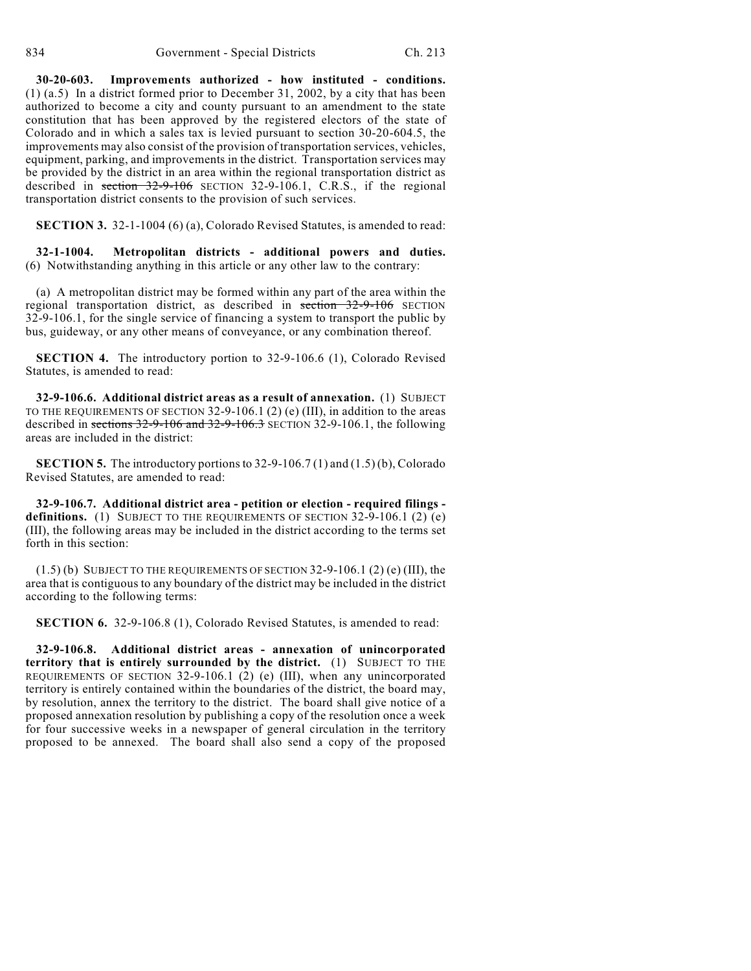**30-20-603. Improvements authorized - how instituted - conditions.** (1) (a.5) In a district formed prior to December 31, 2002, by a city that has been authorized to become a city and county pursuant to an amendment to the state constitution that has been approved by the registered electors of the state of Colorado and in which a sales tax is levied pursuant to section 30-20-604.5, the improvements may also consist of the provision of transportation services, vehicles, equipment, parking, and improvements in the district. Transportation services may be provided by the district in an area within the regional transportation district as described in section 32-9-106 SECTION 32-9-106.1, C.R.S., if the regional transportation district consents to the provision of such services.

**SECTION 3.** 32-1-1004 (6) (a), Colorado Revised Statutes, is amended to read:

**32-1-1004. Metropolitan districts - additional powers and duties.** (6) Notwithstanding anything in this article or any other law to the contrary:

(a) A metropolitan district may be formed within any part of the area within the regional transportation district, as described in section 32-9-106 SECTION 32-9-106.1, for the single service of financing a system to transport the public by bus, guideway, or any other means of conveyance, or any combination thereof.

**SECTION 4.** The introductory portion to 32-9-106.6 (1), Colorado Revised Statutes, is amended to read:

**32-9-106.6. Additional district areas as a result of annexation.** (1) SUBJECT TO THE REQUIREMENTS OF SECTION 32-9-106.1 (2) (e) (III), in addition to the areas described in sections 32-9-106 and 32-9-106.3 SECTION 32-9-106.1, the following areas are included in the district:

**SECTION 5.** The introductory portions to 32-9-106.7 (1) and (1.5) (b), Colorado Revised Statutes, are amended to read:

**32-9-106.7. Additional district area - petition or election - required filings**  definitions. (1) SUBJECT TO THE REQUIREMENTS OF SECTION 32-9-106.1 (2) (e) (III), the following areas may be included in the district according to the terms set forth in this section:

 $(1.5)$  (b) SUBJECT TO THE REQUIREMENTS OF SECTION 32-9-106.1 (2) (e) (III), the area that is contiguous to any boundary of the district may be included in the district according to the following terms:

**SECTION 6.** 32-9-106.8 (1), Colorado Revised Statutes, is amended to read:

**32-9-106.8. Additional district areas - annexation of unincorporated territory that is entirely surrounded by the district.** (1) SUBJECT TO THE REQUIREMENTS OF SECTION 32-9-106.1 (2) (e) (III), when any unincorporated territory is entirely contained within the boundaries of the district, the board may, by resolution, annex the territory to the district. The board shall give notice of a proposed annexation resolution by publishing a copy of the resolution once a week for four successive weeks in a newspaper of general circulation in the territory proposed to be annexed. The board shall also send a copy of the proposed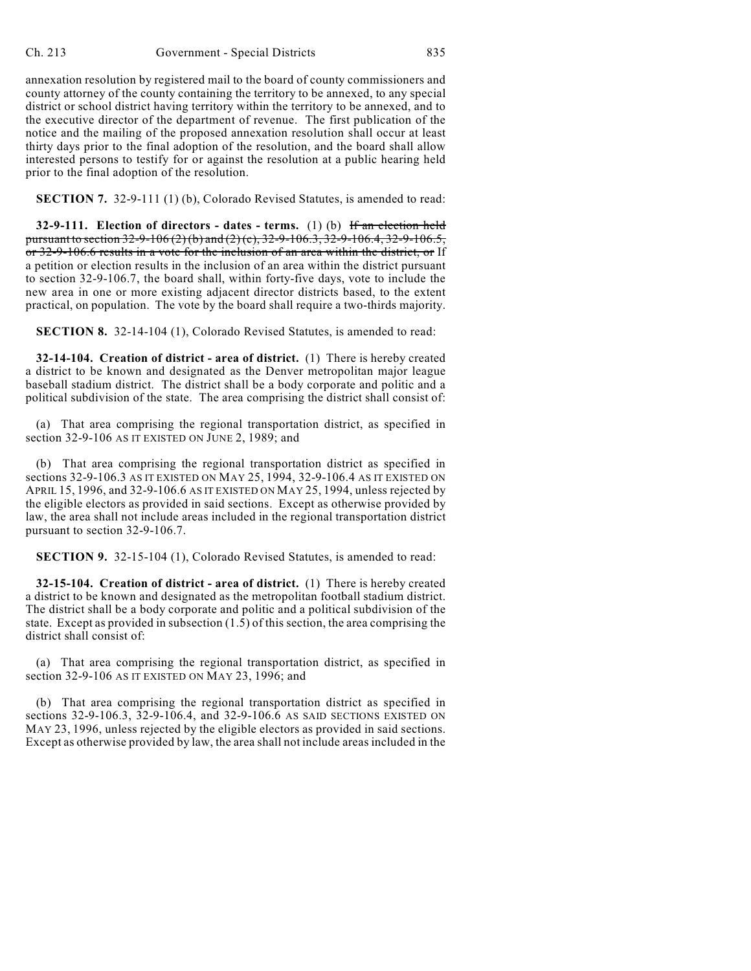annexation resolution by registered mail to the board of county commissioners and county attorney of the county containing the territory to be annexed, to any special district or school district having territory within the territory to be annexed, and to the executive director of the department of revenue. The first publication of the notice and the mailing of the proposed annexation resolution shall occur at least thirty days prior to the final adoption of the resolution, and the board shall allow interested persons to testify for or against the resolution at a public hearing held prior to the final adoption of the resolution.

**SECTION 7.** 32-9-111 (1) (b), Colorado Revised Statutes, is amended to read:

**32-9-111.** Election of directors - dates - terms. (1) (b) If an election held pursuant to section 32-9-106 (2) (b) and (2) (c), 32-9-106.3, 32-9-106.4, 32-9-106.5, or 32-9-106.6 results in a vote for the inclusion of an area within the district, or If a petition or election results in the inclusion of an area within the district pursuant to section 32-9-106.7, the board shall, within forty-five days, vote to include the new area in one or more existing adjacent director districts based, to the extent practical, on population. The vote by the board shall require a two-thirds majority.

**SECTION 8.** 32-14-104 (1), Colorado Revised Statutes, is amended to read:

**32-14-104. Creation of district - area of district.** (1) There is hereby created a district to be known and designated as the Denver metropolitan major league baseball stadium district. The district shall be a body corporate and politic and a political subdivision of the state. The area comprising the district shall consist of:

(a) That area comprising the regional transportation district, as specified in section 32-9-106 AS IT EXISTED ON JUNE 2, 1989; and

(b) That area comprising the regional transportation district as specified in sections 32-9-106.3 AS IT EXISTED ON MAY 25, 1994, 32-9-106.4 AS IT EXISTED ON APRIL 15, 1996, and 32-9-106.6 AS IT EXISTED ON MAY 25, 1994, unless rejected by the eligible electors as provided in said sections. Except as otherwise provided by law, the area shall not include areas included in the regional transportation district pursuant to section 32-9-106.7.

**SECTION 9.** 32-15-104 (1), Colorado Revised Statutes, is amended to read:

**32-15-104. Creation of district - area of district.** (1) There is hereby created a district to be known and designated as the metropolitan football stadium district. The district shall be a body corporate and politic and a political subdivision of the state. Except as provided in subsection (1.5) of this section, the area comprising the district shall consist of:

(a) That area comprising the regional transportation district, as specified in section 32-9-106 AS IT EXISTED ON MAY 23, 1996; and

(b) That area comprising the regional transportation district as specified in sections 32-9-106.3, 32-9-106.4, and 32-9-106.6 AS SAID SECTIONS EXISTED ON MAY 23, 1996, unless rejected by the eligible electors as provided in said sections. Except as otherwise provided by law, the area shall not include areas included in the